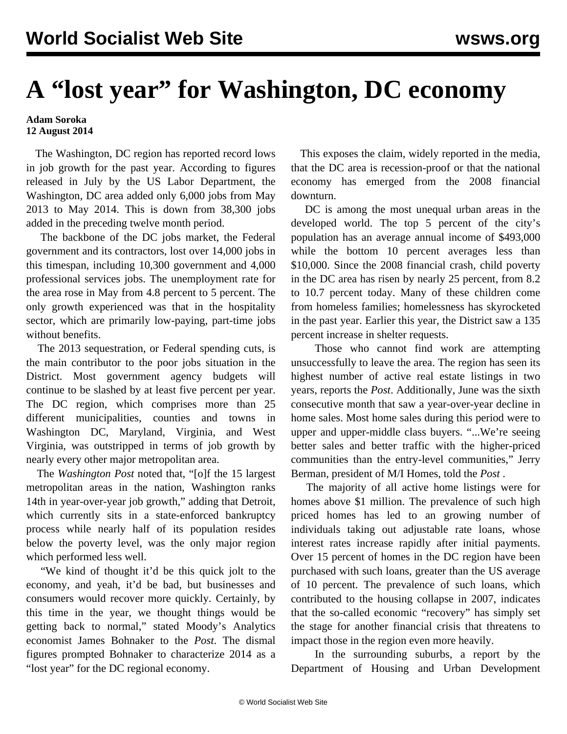## **A "lost year" for Washington, DC economy**

## **Adam Soroka 12 August 2014**

 The Washington, DC region has reported record lows in job growth for the past year. According to figures released in July by the US Labor Department, the Washington, DC area added only 6,000 jobs from May 2013 to May 2014. This is down from 38,300 jobs added in the preceding twelve month period.

 The backbone of the DC jobs market, the Federal government and its contractors, lost over 14,000 jobs in this timespan, including 10,300 government and 4,000 professional services jobs. The unemployment rate for the area rose in May from 4.8 percent to 5 percent. The only growth experienced was that in the hospitality sector, which are primarily low-paying, part-time jobs without benefits.

 The 2013 sequestration, or Federal spending cuts, is the main contributor to the poor jobs situation in the District. Most government agency budgets will continue to be slashed by at least five percent per year. The DC region, which comprises more than 25 different municipalities, counties and towns in Washington DC, Maryland, Virginia, and West Virginia, was outstripped in terms of job growth by nearly every other major metropolitan area.

 The *Washington Post* noted that, "[o]f the 15 largest metropolitan areas in the nation, Washington ranks 14th in year-over-year job growth," adding that Detroit, which currently sits in a state-enforced bankruptcy process while nearly half of its population resides below the poverty level, was the only major region which performed less well.

 "We kind of thought it'd be this quick jolt to the economy, and yeah, it'd be bad, but businesses and consumers would recover more quickly. Certainly, by this time in the year, we thought things would be getting back to normal," stated Moody's Analytics economist James Bohnaker to the *Post*. The dismal figures prompted Bohnaker to characterize 2014 as a "lost year" for the DC regional economy.

 This exposes the claim, widely reported in the media, that the DC area is recession-proof or that the national economy has emerged from the 2008 financial downturn.

 DC is among the most unequal urban areas in the developed world. The top 5 percent of the city's population has an average annual income of \$493,000 while the bottom 10 percent averages less than \$10,000. Since the 2008 financial crash, child poverty in the DC area has risen by nearly 25 percent, from 8.2 to 10.7 percent today. Many of these children come from homeless families; homelessness has skyrocketed in the past year. Earlier this year, the District saw a 135 percent increase in shelter requests.

 Those who cannot find work are attempting unsuccessfully to leave the area. The region has seen its highest number of active real estate listings in two years, reports the *Post*. Additionally, June was the sixth consecutive month that saw a year-over-year decline in home sales. Most home sales during this period were to upper and upper-middle class buyers. "...We're seeing better sales and better traffic with the higher-priced communities than the entry-level communities," Jerry Berman, president of M/I Homes, told the *Post* .

 The majority of all active home listings were for homes above \$1 million. The prevalence of such high priced homes has led to an growing number of individuals taking out adjustable rate loans, whose interest rates increase rapidly after initial payments. Over 15 percent of homes in the DC region have been purchased with such loans, greater than the US average of 10 percent. The prevalence of such loans, which contributed to the housing collapse in 2007, indicates that the so-called economic "recovery" has simply set the stage for another financial crisis that threatens to impact those in the region even more heavily.

 In the surrounding suburbs, a report by the Department of Housing and Urban Development